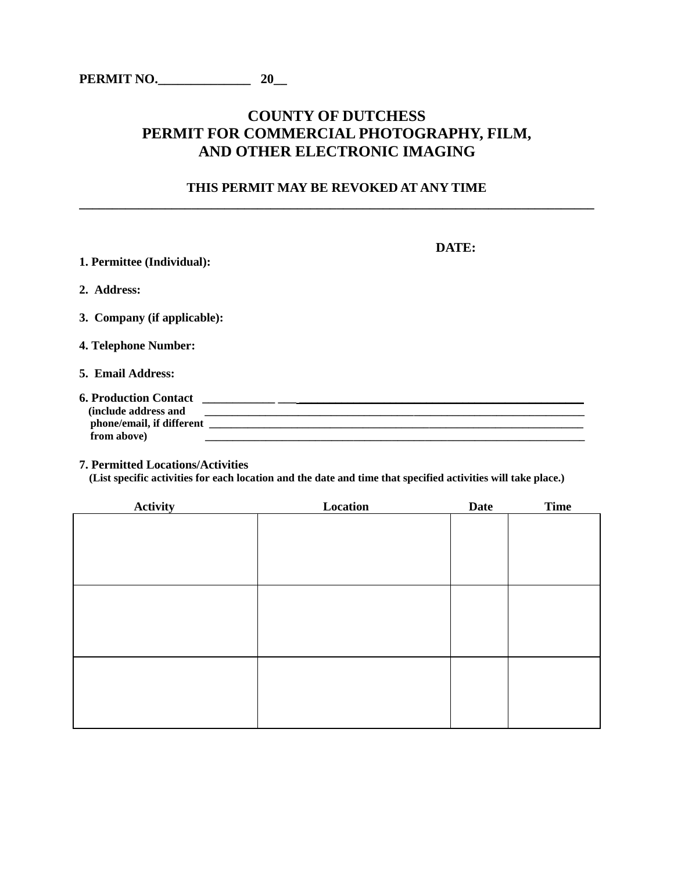# **COUNTY OF DUTCHESS PERMIT FOR COMMERCIAL PHOTOGRAPHY, FILM, AND OTHER ELECTRONIC IMAGING**

## **THIS PERMIT MAY BE REVOKED AT ANY TIME \_\_\_\_\_\_\_\_\_\_\_\_\_\_\_\_\_\_\_\_\_\_\_\_\_\_\_\_\_\_\_\_\_\_\_\_\_\_\_\_\_\_\_\_\_\_\_\_\_\_\_\_\_\_\_\_\_\_\_\_\_\_\_\_\_\_\_\_\_\_\_\_\_\_\_\_\_\_**

|                                                                     | DATE: |
|---------------------------------------------------------------------|-------|
| 1. Permittee (Individual):                                          |       |
| 2. Address:                                                         |       |
| 3. Company (if applicable):                                         |       |
| 4. Telephone Number:                                                |       |
| 5. Email Address:                                                   |       |
| <b>6. Production Contact</b><br>(include address and<br>from above) |       |

**7. Permitted Locations/Activities**

 **(List specific activities for each location and the date and time that specified activities will take place.)** 

| <b>Activity</b> | Location | <b>Date</b> | <b>Time</b> |
|-----------------|----------|-------------|-------------|
|                 |          |             |             |
|                 |          |             |             |
|                 |          |             |             |
|                 |          |             |             |
|                 |          |             |             |
|                 |          |             |             |
|                 |          |             |             |
|                 |          |             |             |
|                 |          |             |             |
|                 |          |             |             |
|                 |          |             |             |
|                 |          |             |             |
|                 |          |             |             |
|                 |          |             |             |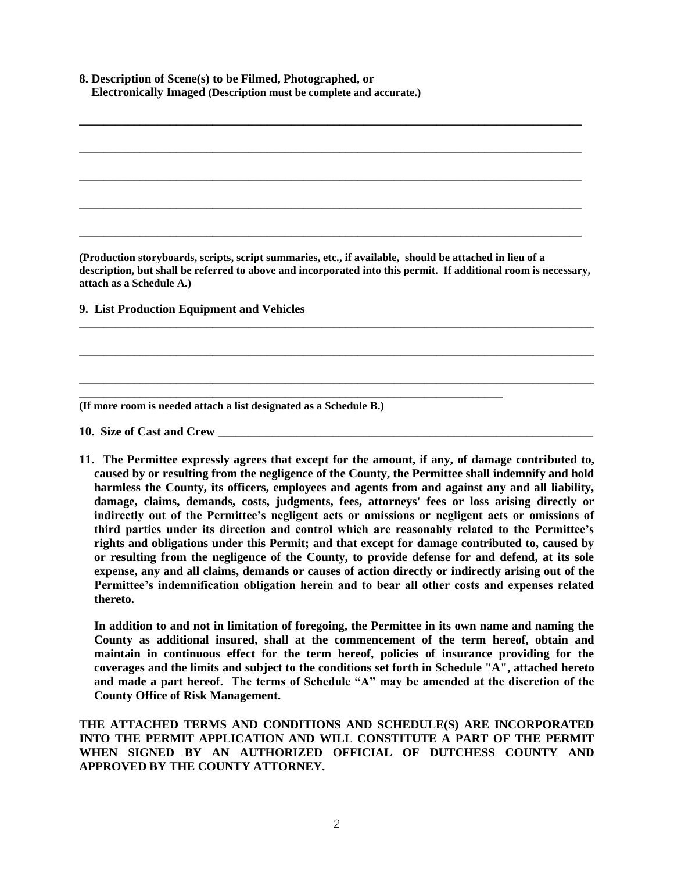| 8. Description of Scene(s) to be Filmed, Photographed, or          |  |
|--------------------------------------------------------------------|--|
| Electronically Imaged (Description must be complete and accurate.) |  |

**(Production storyboards, scripts, script summaries, etc., if available, should be attached in lieu of a description, but shall be referred to above and incorporated into this permit. If additional room is necessary, attach as a Schedule A.)**

**\_\_\_\_\_\_\_\_\_\_\_\_\_\_\_\_\_\_\_\_\_\_\_\_\_\_\_\_\_\_\_\_\_\_\_\_\_\_\_\_\_\_\_\_\_\_\_\_\_\_\_\_\_\_\_\_\_\_\_\_\_\_\_\_\_\_\_\_\_\_\_\_\_\_\_\_\_\_\_\_\_\_\_\_\_**

**\_\_\_\_\_\_\_\_\_\_\_\_\_\_\_\_\_\_\_\_\_\_\_\_\_\_\_\_\_\_\_\_\_\_\_\_\_\_\_\_\_\_\_\_\_\_\_\_\_\_\_\_\_\_\_\_\_\_\_\_\_\_\_\_\_\_\_\_\_\_\_\_\_\_\_\_\_\_\_\_\_\_\_\_\_**

**\_\_\_\_\_\_\_\_\_\_\_\_\_\_\_\_\_\_\_\_\_\_\_\_\_\_\_\_\_\_\_\_\_\_\_\_\_\_\_\_\_\_\_\_\_\_\_\_\_\_\_\_\_\_\_\_\_\_\_\_\_\_\_\_\_\_\_\_\_\_\_\_\_\_\_\_\_\_\_\_\_\_\_\_\_**

**\_\_\_\_\_\_\_\_\_\_\_\_\_\_\_\_\_\_\_\_\_\_\_\_\_\_\_\_\_\_\_\_\_\_\_\_\_\_\_\_\_\_\_\_\_\_\_\_\_\_\_\_\_\_\_\_\_\_\_\_\_\_\_\_\_\_\_\_\_\_**

**\_\_\_\_\_\_\_\_\_\_\_\_\_\_\_\_\_\_\_\_\_\_\_\_\_\_\_\_\_\_\_\_\_\_\_\_\_\_\_\_\_\_\_\_\_\_\_\_\_\_\_\_\_\_\_\_\_\_\_\_\_\_\_\_\_\_\_\_\_\_\_\_\_\_\_\_\_\_\_\_\_\_\_**

**\_\_\_\_\_\_\_\_\_\_\_\_\_\_\_\_\_\_\_\_\_\_\_\_\_\_\_\_\_\_\_\_\_\_\_\_\_\_\_\_\_\_\_\_\_\_\_\_\_\_\_\_\_\_\_\_\_\_\_\_\_\_\_\_\_\_\_\_\_\_\_\_\_\_\_\_\_\_\_\_\_\_\_**

**\_\_\_\_\_\_\_\_\_\_\_\_\_\_\_\_\_\_\_\_\_\_\_\_\_\_\_\_\_\_\_\_\_\_\_\_\_\_\_\_\_\_\_\_\_\_\_\_\_\_\_\_\_\_\_\_\_\_\_\_\_\_\_\_\_\_\_\_\_\_\_\_\_\_\_\_\_\_\_\_\_\_\_**

**\_\_\_\_\_\_\_\_\_\_\_\_\_\_\_\_\_\_\_\_\_\_\_\_\_\_\_\_\_\_\_\_\_\_\_\_\_\_\_\_\_\_\_\_\_\_\_\_\_\_\_\_\_\_\_\_\_\_\_\_\_\_\_\_\_\_\_\_\_\_\_\_\_\_\_\_\_\_\_\_\_\_\_**

**\_\_\_\_\_\_\_\_\_\_\_\_\_\_\_\_\_\_\_\_\_\_\_\_\_\_\_\_\_\_\_\_\_\_\_\_\_\_\_\_\_\_\_\_\_\_\_\_\_\_\_\_\_\_\_\_\_\_\_\_\_\_\_\_\_\_\_\_\_\_\_\_\_\_\_\_\_\_\_\_\_\_\_**

**9. List Production Equipment and Vehicles**

**(If more room is needed attach a list designated as a Schedule B.)**

**10. Size of Cast and Crew** 

**11. The Permittee expressly agrees that except for the amount, if any, of damage contributed to, caused by or resulting from the negligence of the County, the Permittee shall indemnify and hold harmless the County, its officers, employees and agents from and against any and all liability, damage, claims, demands, costs, judgments, fees, attorneys' fees or loss arising directly or indirectly out of the Permittee's negligent acts or omissions or negligent acts or omissions of third parties under its direction and control which are reasonably related to the Permittee's rights and obligations under this Permit; and that except for damage contributed to, caused by or resulting from the negligence of the County, to provide defense for and defend, at its sole expense, any and all claims, demands or causes of action directly or indirectly arising out of the Permittee's indemnification obligation herein and to bear all other costs and expenses related thereto.** 

**In addition to and not in limitation of foregoing, the Permittee in its own name and naming the County as additional insured, shall at the commencement of the term hereof, obtain and maintain in continuous effect for the term hereof, policies of insurance providing for the coverages and the limits and subject to the conditions set forth in Schedule "A", attached hereto and made a part hereof. The terms of Schedule "A" may be amended at the discretion of the County Office of Risk Management.**

**THE ATTACHED TERMS AND CONDITIONS AND SCHEDULE(S) ARE INCORPORATED INTO THE PERMIT APPLICATION AND WILL CONSTITUTE A PART OF THE PERMIT WHEN SIGNED BY AN AUTHORIZED OFFICIAL OF DUTCHESS COUNTY AND APPROVED BY THE COUNTY ATTORNEY.**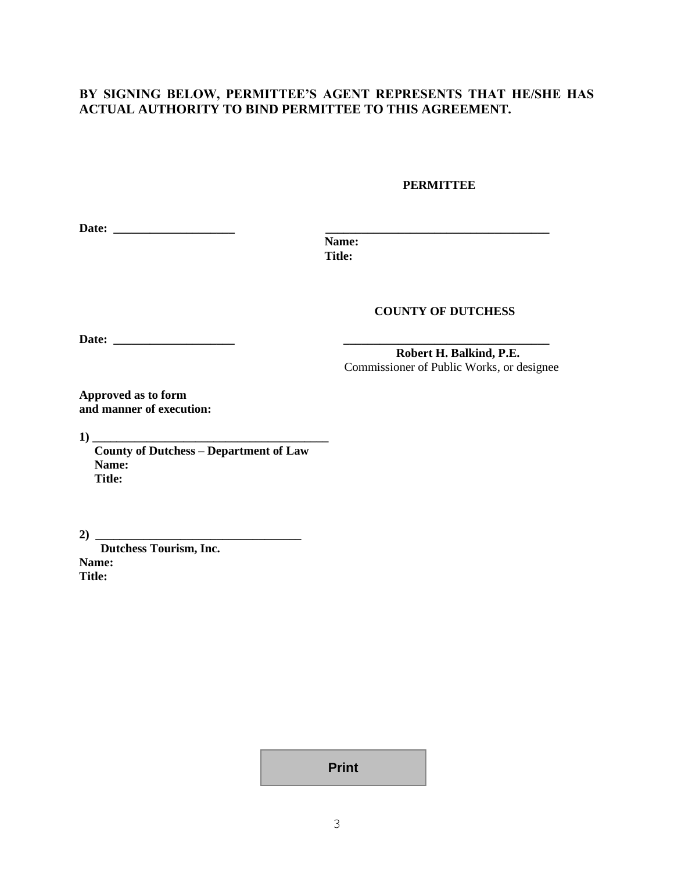## **BY SIGNING BELOW, PERMITTEE'S AGENT REPRESENTS THAT HE/SHE HAS ACTUAL AUTHORITY TO BIND PERMITTEE TO THIS AGREEMENT.**

### **PERMITTEE**

| D<br>Date: |  |
|------------|--|
|            |  |

 **Name: Title:**

### **COUNTY OF DUTCHESS**

**Date: \_\_\_\_\_\_\_\_\_\_\_\_\_\_\_\_\_\_\_\_ \_\_\_\_\_\_\_\_\_\_\_\_\_\_\_\_\_\_\_\_\_\_\_\_\_\_\_\_\_\_\_\_\_\_**

**Robert H. Balkind, P.E.** Commissioner of Public Works, or designee

**Approved as to form and manner of execution:**

**1) \_\_\_\_\_\_\_\_\_\_\_\_\_\_\_\_\_\_\_\_\_\_\_\_\_\_\_\_\_\_\_\_\_\_\_\_\_\_\_**

 **County of Dutchess – Department of Law Name: Title:**

**2) \_\_\_\_\_\_\_\_\_\_\_\_\_\_\_\_\_\_\_\_\_\_\_\_\_\_\_\_\_\_\_\_\_\_**

 **Dutchess Tourism, Inc. Name: Title:** 

**Print**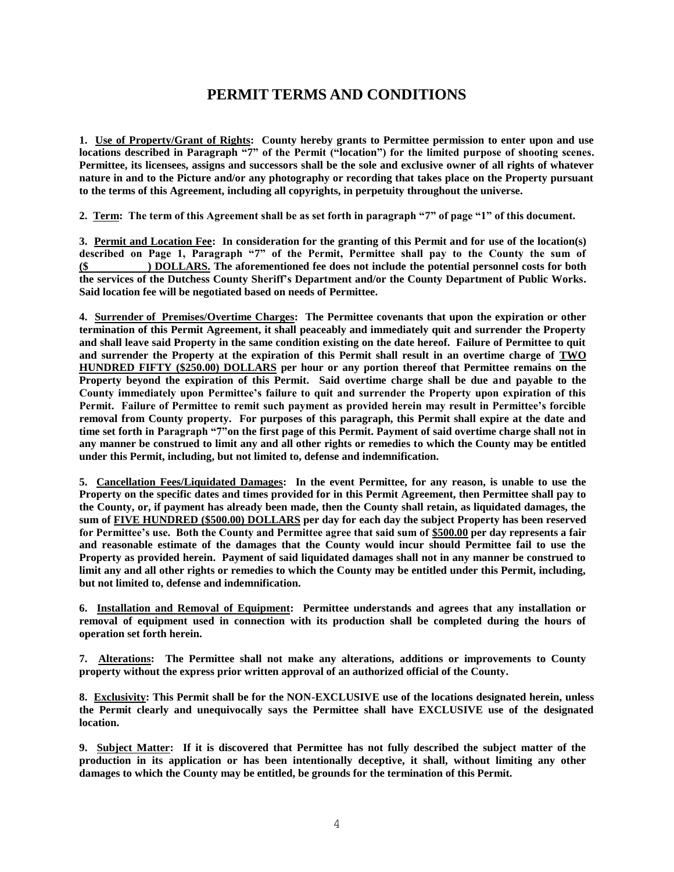# **PERMIT TERMS AND CONDITIONS**

**1. Use of Property/Grant of Rights: County hereby grants to Permittee permission to enter upon and use locations described in Paragraph "7" of the Permit ("location") for the limited purpose of shooting scenes. Permittee, its licensees, assigns and successors shall be the sole and exclusive owner of all rights of whatever nature in and to the Picture and/or any photography or recording that takes place on the Property pursuant to the terms of this Agreement, including all copyrights, in perpetuity throughout the universe.**

**2. Term: The term of this Agreement shall be as set forth in paragraph "7" of page "1" of this document.**

**3. Permit and Location Fee: In consideration for the granting of this Permit and for use of the location(s) described on Page 1, Paragraph "7" of the Permit, Permittee shall pay to the County the sum of (\$ ) DOLLARS. The aforementioned fee does not include the potential personnel costs for both the services of the Dutchess County Sheriff's Department and/or the County Department of Public Works. Said location fee will be negotiated based on needs of Permittee.** 

**4. Surrender of Premises/Overtime Charges: The Permittee covenants that upon the expiration or other termination of this Permit Agreement, it shall peaceably and immediately quit and surrender the Property and shall leave said Property in the same condition existing on the date hereof. Failure of Permittee to quit and surrender the Property at the expiration of this Permit shall result in an overtime charge of TWO HUNDRED FIFTY (\$250.00) DOLLARS per hour or any portion thereof that Permittee remains on the Property beyond the expiration of this Permit. Said overtime charge shall be due and payable to the County immediately upon Permittee's failure to quit and surrender the Property upon expiration of this Permit. Failure of Permittee to remit such payment as provided herein may result in Permittee's forcible removal from County property. For purposes of this paragraph, this Permit shall expire at the date and time set forth in Paragraph "7"on the first page of this Permit. Payment of said overtime charge shall not in any manner be construed to limit any and all other rights or remedies to which the County may be entitled under this Permit, including, but not limited to, defense and indemnification.** 

**5. Cancellation Fees/Liquidated Damages: In the event Permittee, for any reason, is unable to use the Property on the specific dates and times provided for in this Permit Agreement, then Permittee shall pay to the County, or, if payment has already been made, then the County shall retain, as liquidated damages, the sum of FIVE HUNDRED (\$500.00) DOLLARS per day for each day the subject Property has been reserved for Permittee's use. Both the County and Permittee agree that said sum of \$500.00 per day represents a fair and reasonable estimate of the damages that the County would incur should Permittee fail to use the Property as provided herein. Payment of said liquidated damages shall not in any manner be construed to limit any and all other rights or remedies to which the County may be entitled under this Permit, including, but not limited to, defense and indemnification.**

**6. Installation and Removal of Equipment: Permittee understands and agrees that any installation or removal of equipment used in connection with its production shall be completed during the hours of operation set forth herein.**

**7. Alterations: The Permittee shall not make any alterations, additions or improvements to County property without the express prior written approval of an authorized official of the County.**

**8. Exclusivity: This Permit shall be for the NON-EXCLUSIVE use of the locations designated herein, unless the Permit clearly and unequivocally says the Permittee shall have EXCLUSIVE use of the designated location.**

**9. Subject Matter: If it is discovered that Permittee has not fully described the subject matter of the production in its application or has been intentionally deceptive, it shall, without limiting any other damages to which the County may be entitled, be grounds for the termination of this Permit.**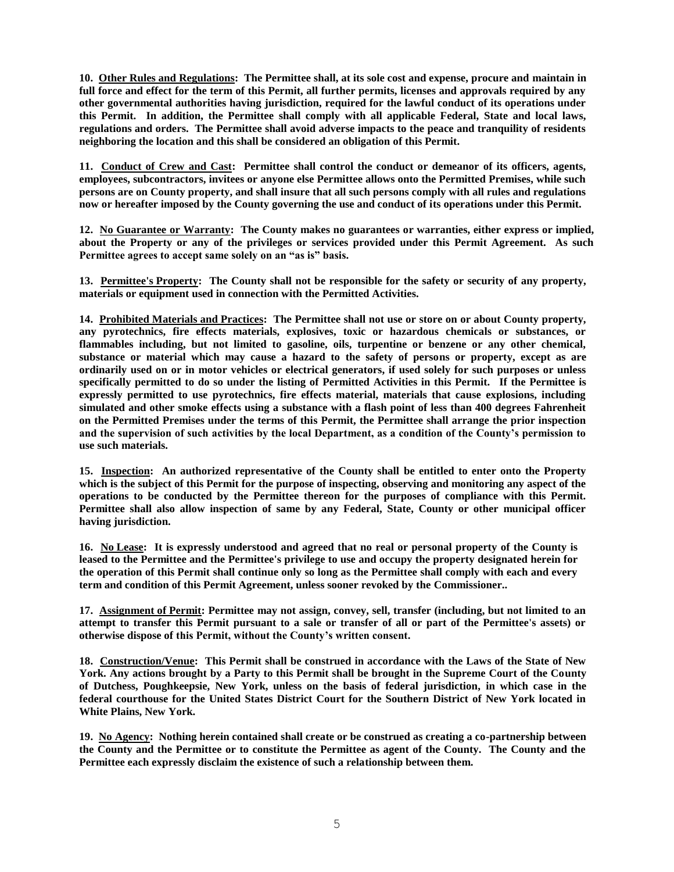**10. Other Rules and Regulations: The Permittee shall, at its sole cost and expense, procure and maintain in full force and effect for the term of this Permit, all further permits, licenses and approvals required by any other governmental authorities having jurisdiction, required for the lawful conduct of its operations under this Permit. In addition, the Permittee shall comply with all applicable Federal, State and local laws, regulations and orders. The Permittee shall avoid adverse impacts to the peace and tranquility of residents neighboring the location and this shall be considered an obligation of this Permit.**

**11. Conduct of Crew and Cast: Permittee shall control the conduct or demeanor of its officers, agents, employees, subcontractors, invitees or anyone else Permittee allows onto the Permitted Premises, while such persons are on County property, and shall insure that all such persons comply with all rules and regulations now or hereafter imposed by the County governing the use and conduct of its operations under this Permit.**

**12. No Guarantee or Warranty: The County makes no guarantees or warranties, either express or implied, about the Property or any of the privileges or services provided under this Permit Agreement. As such Permittee agrees to accept same solely on an "as is" basis.** 

**13. Permittee's Property: The County shall not be responsible for the safety or security of any property, materials or equipment used in connection with the Permitted Activities.**

**14. Prohibited Materials and Practices: The Permittee shall not use or store on or about County property, any pyrotechnics, fire effects materials, explosives, toxic or hazardous chemicals or substances, or flammables including, but not limited to gasoline, oils, turpentine or benzene or any other chemical, substance or material which may cause a hazard to the safety of persons or property, except as are ordinarily used on or in motor vehicles or electrical generators, if used solely for such purposes or unless specifically permitted to do so under the listing of Permitted Activities in this Permit. If the Permittee is expressly permitted to use pyrotechnics, fire effects material, materials that cause explosions, including simulated and other smoke effects using a substance with a flash point of less than 400 degrees Fahrenheit on the Permitted Premises under the terms of this Permit, the Permittee shall arrange the prior inspection and the supervision of such activities by the local Department, as a condition of the County's permission to use such materials.**

**15. Inspection: An authorized representative of the County shall be entitled to enter onto the Property which is the subject of this Permit for the purpose of inspecting, observing and monitoring any aspect of the operations to be conducted by the Permittee thereon for the purposes of compliance with this Permit. Permittee shall also allow inspection of same by any Federal, State, County or other municipal officer having jurisdiction.**

**16. No Lease: It is expressly understood and agreed that no real or personal property of the County is leased to the Permittee and the Permittee's privilege to use and occupy the property designated herein for the operation of this Permit shall continue only so long as the Permittee shall comply with each and every term and condition of this Permit Agreement, unless sooner revoked by the Commissioner..**

**17. Assignment of Permit: Permittee may not assign, convey, sell, transfer (including, but not limited to an attempt to transfer this Permit pursuant to a sale or transfer of all or part of the Permittee's assets) or otherwise dispose of this Permit, without the County's written consent.**

**18. Construction/Venue: This Permit shall be construed in accordance with the Laws of the State of New York. Any actions brought by a Party to this Permit shall be brought in the Supreme Court of the County of Dutchess, Poughkeepsie, New York, unless on the basis of federal jurisdiction, in which case in the federal courthouse for the United States District Court for the Southern District of New York located in White Plains, New York.**

**19. No Agency: Nothing herein contained shall create or be construed as creating a co-partnership between the County and the Permittee or to constitute the Permittee as agent of the County. The County and the Permittee each expressly disclaim the existence of such a relationship between them.**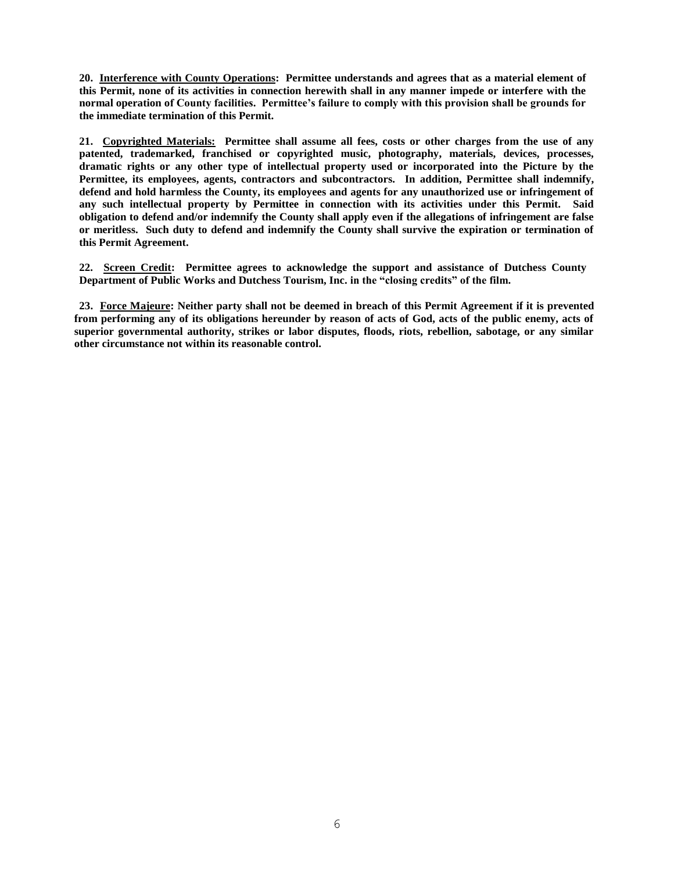**20. Interference with County Operations: Permittee understands and agrees that as a material element of this Permit, none of its activities in connection herewith shall in any manner impede or interfere with the normal operation of County facilities. Permittee's failure to comply with this provision shall be grounds for the immediate termination of this Permit.**

**21. Copyrighted Materials: Permittee shall assume all fees, costs or other charges from the use of any patented, trademarked, franchised or copyrighted music, photography, materials, devices, processes, dramatic rights or any other type of intellectual property used or incorporated into the Picture by the Permittee, its employees, agents, contractors and subcontractors. In addition, Permittee shall indemnify, defend and hold harmless the County, its employees and agents for any unauthorized use or infringement of any such intellectual property by Permittee in connection with its activities under this Permit. Said obligation to defend and/or indemnify the County shall apply even if the allegations of infringement are false or meritless. Such duty to defend and indemnify the County shall survive the expiration or termination of this Permit Agreement.**

**22. Screen Credit: Permittee agrees to acknowledge the support and assistance of Dutchess County Department of Public Works and Dutchess Tourism, Inc. in the "closing credits" of the film.** 

**23. Force Majeure: Neither party shall not be deemed in breach of this Permit Agreement if it is prevented from performing any of its obligations hereunder by reason of acts of God, acts of the public enemy, acts of superior governmental authority, strikes or labor disputes, floods, riots, rebellion, sabotage, or any similar other circumstance not within its reasonable control.**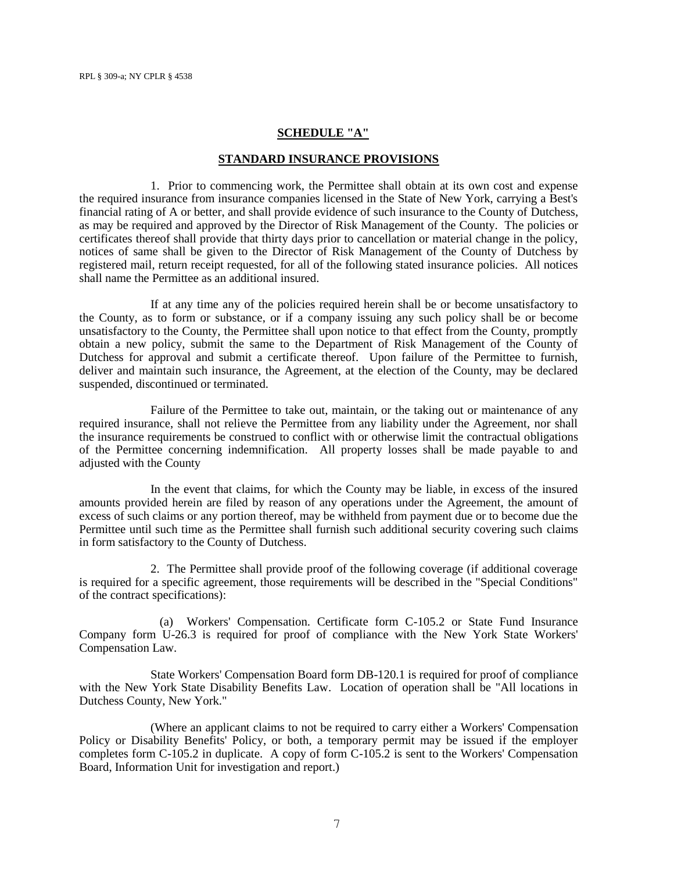#### **SCHEDULE "A"**

#### **STANDARD INSURANCE PROVISIONS**

1. Prior to commencing work, the Permittee shall obtain at its own cost and expense the required insurance from insurance companies licensed in the State of New York, carrying a Best's financial rating of A or better, and shall provide evidence of such insurance to the County of Dutchess, as may be required and approved by the Director of Risk Management of the County. The policies or certificates thereof shall provide that thirty days prior to cancellation or material change in the policy, notices of same shall be given to the Director of Risk Management of the County of Dutchess by registered mail, return receipt requested, for all of the following stated insurance policies. All notices shall name the Permittee as an additional insured.

If at any time any of the policies required herein shall be or become unsatisfactory to the County, as to form or substance, or if a company issuing any such policy shall be or become unsatisfactory to the County, the Permittee shall upon notice to that effect from the County, promptly obtain a new policy, submit the same to the Department of Risk Management of the County of Dutchess for approval and submit a certificate thereof. Upon failure of the Permittee to furnish, deliver and maintain such insurance, the Agreement, at the election of the County, may be declared suspended, discontinued or terminated.

Failure of the Permittee to take out, maintain, or the taking out or maintenance of any required insurance, shall not relieve the Permittee from any liability under the Agreement, nor shall the insurance requirements be construed to conflict with or otherwise limit the contractual obligations of the Permittee concerning indemnification. All property losses shall be made payable to and adjusted with the County

In the event that claims, for which the County may be liable, in excess of the insured amounts provided herein are filed by reason of any operations under the Agreement, the amount of excess of such claims or any portion thereof, may be withheld from payment due or to become due the Permittee until such time as the Permittee shall furnish such additional security covering such claims in form satisfactory to the County of Dutchess.

2. The Permittee shall provide proof of the following coverage (if additional coverage is required for a specific agreement, those requirements will be described in the "Special Conditions" of the contract specifications):

 (a) Workers' Compensation. Certificate form C-105.2 or State Fund Insurance Company form U-26.3 is required for proof of compliance with the New York State Workers' Compensation Law.

State Workers' Compensation Board form DB-120.1 is required for proof of compliance with the New York State Disability Benefits Law. Location of operation shall be "All locations in Dutchess County, New York."

(Where an applicant claims to not be required to carry either a Workers' Compensation Policy or Disability Benefits' Policy, or both, a temporary permit may be issued if the employer completes form C-105.2 in duplicate. A copy of form C-105.2 is sent to the Workers' Compensation Board, Information Unit for investigation and report.)